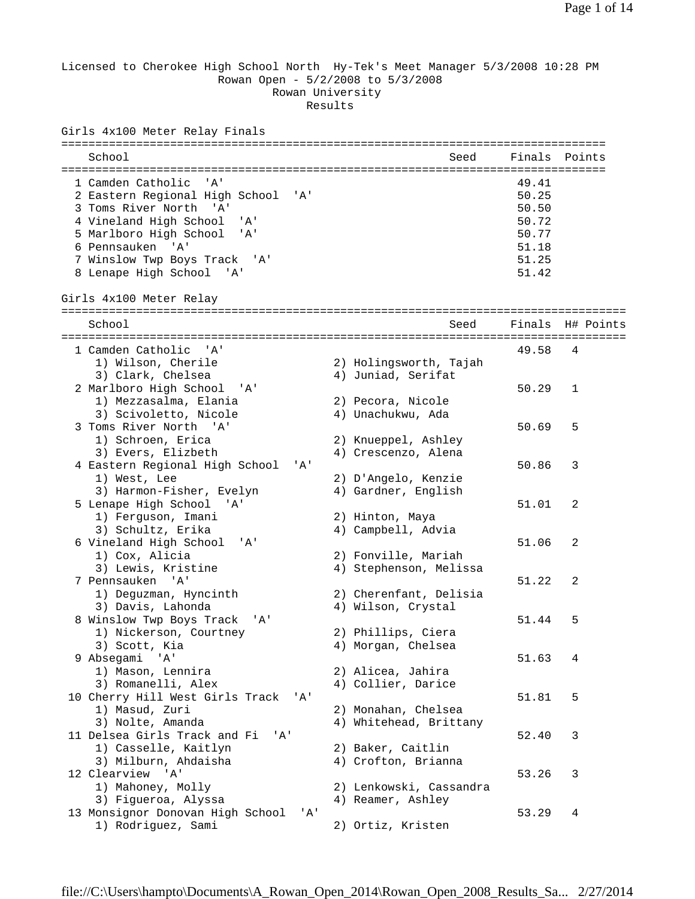## Licensed to Cherokee High School North Hy-Tek's Meet Manager 5/3/2008 10:28 PM Rowan Open - 5/2/2008 to 5/3/2008 Rowan University Results Girls 4x100 Meter Relay Finals ================================================================================ School Seed Finals Points ================================================================================ 1 Camden Catholic 'A' 49.41 2 Eastern Regional High School 'A' 50.25 3 Toms River North 'A' 50.50 4 Vineland High School 'A' 50.72 5 Marlboro High School 'A' 50.77 6 Pennsauken 'A' 51.18 7 Winslow Twp Boys Track 'A' 51.25 8 Lenape High School 'A' 51.42 Girls 4x100 Meter Relay =================================================================================== School School Seed Finals H# Points =================================================================================== 1 Camden Catholic 'A' 49.58 4 1) Wilson, Cherile 2) Holingsworth, Tajah 3) Clark, Chelsea (4) Juniad, Serifat 2 Marlboro High School 'A' 50.29 1 1) Mezzasalma, Elania 2) Pecora, Nicole 3) Scivoletto, Nicole 4) Unachukwu, Ada 3 Toms River North 'A' 50.69 5 1) Schroen, Erica 2) Knueppel, Ashley 3) Evers, Elizbeth 4) Crescenzo, Alena 4 Eastern Regional High School 'A' 50.86 3 1) West, Lee 2) D'Angelo, Kenzie 3) Harmon-Fisher, Evelyn 4) Gardner, English 5 Lenape High School 'A' 51.01 2 1) Ferguson, Imani 2) Hinton, Maya 3) Schultz, Erika (4) Campbell, Advia 6 Vineland High School 'A' 51.06 2 1) Cox, Alicia 2) Fonville, Mariah 3) Lewis, Kristine 4) Stephenson, Melissa 7 Pennsauken 'A' 51.22 2 1) Deguzman, Hyncinth 2) Cherenfant, Delisia<br>3) Davis, Lahonda 2, 2, Wilson, Crystal 3) Davis, Lahonda 8 Winslow Twp Boys Track 'A' 51.44 5 1) Nickerson, Courtney 2) Phillips, Ciera 3) Scott, Kia (2008) (2018) 4) Morgan, Chelsea 9 Absegami 'A' 51.63 4 1) Mason, Lennira 2) Alicea, Jahira 3) Romanelli, Alex 4) Collier, Darice 10 Cherry Hill West Girls Track 'A' 51.81 5 1) Masud, Zuri 2) Monahan, Chelsea 3) Nolte, Amanda 4) Whitehead, Brittany 11 Delsea Girls Track and Fi 'A' 52.40 52.40 52.40 3<br>1) Casselle, Kaitlyn 2) Baker, Caitlin 1) Casselle, Kaitlyn 3) Milburn, Ahdaisha (4) Crofton, Brianna 12 Clearview 'A' 53.26 3 1) Mahoney, Molly 2) Lenkowski, Cassandra 3) Figueroa, Alyssa 4) Reamer, Ashley 13 Monsignor Donovan High School 'A' 53.29 4 1) Rodriguez, Sami 2) Ortiz, Kristen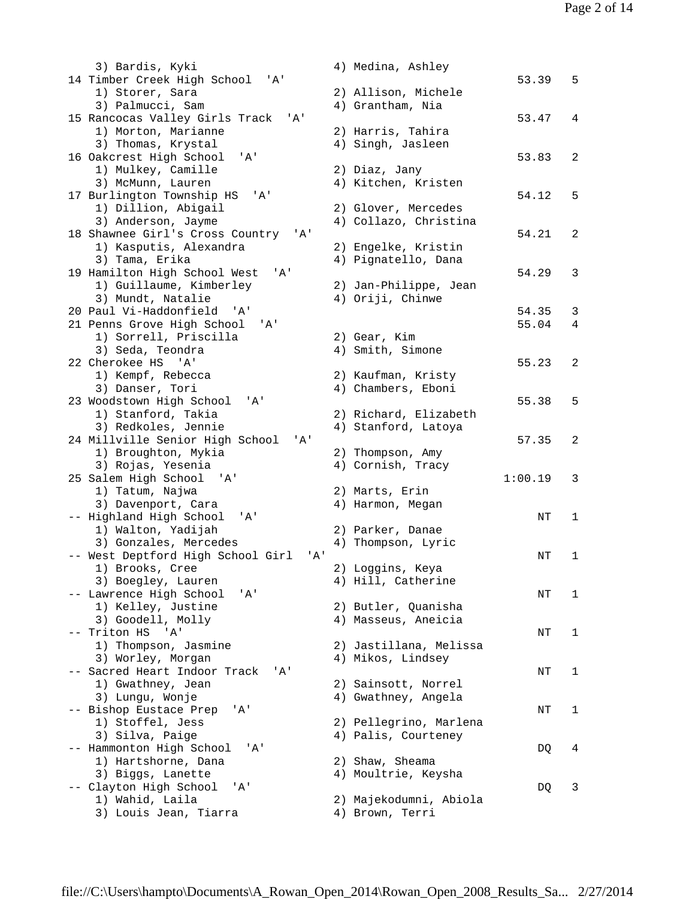3) Bardis, Kyki 4) Medina, Ashl 14 Timber Creek High School 'A' 1) Storer, Sara 3) Palmucci, Sam 15 Rancocas Valley Girls Track 'A' 1) Morton, Marianne 3) Thomas, Krystal 16 Oakcrest High School 'A' 1) Mulkey, Camille 3) McMunn, Lauren 17 Burlington Township HS 'A' 1) Dillion, Abigail 3) Anderson, Jayme 18 Shawnee Girl's Cross Country 'A' 1) Kasputis, Alexandra 3) Tama, Erika 19 Hamilton High School West 'A' 1) Guillaume, Kimberley 3) Mundt, Natalie 20 Paul Vi-Haddonfield 'A' 21 Penns Grove High School 'A' 1) Sorrell, Priscilla 3) Seda, Teondra 22 Cherokee HS 'A' 1) Kempf, Rebecca 3) Danser, Tori 23 Woodstown High School 'A' 1) Stanford, Takia 3) Redkoles, Jennie 24 Millville Senior High School 'A' 1) Broughton, Mykia 3) Rojas, Yesenia 25 Salem High School 'A' 1) Tatum, Najwa 3) Davenport, Cara -- Highland High School 'A' 1) Walton, Yadijah 3) Gonzales, Mercedes -- West Deptford High School Girl 'A 1) Brooks, Cree 3) Boegley, Lauren -- Lawrence High School 'A' 1) Kelley, Justine 3) Goodell, Molly -- Triton HS 'A' 1) Thompson, Jasmine 3) Worley, Morgan -- Sacred Heart Indoor Track 'A' 1) Gwathney, Jean 3) Lungu, Wonje -- Bishop Eustace Prep 'A' 1) Stoffel, Jess 3) Silva, Paige -- Hammonton High School 'A' 1) Hartshorne, Dana 3) Biggs, Lanette -- Clayton High School 'A' 1) Wahid, Laila 3) Louis Jean, Tiarra (4) Brown, Terri

|                      |     | 4) Medina, Ashley                            | 53.39   | 5              |
|----------------------|-----|----------------------------------------------|---------|----------------|
|                      |     | 2) Allison, Michele<br>4) Grantham, Nia      |         |                |
|                      |     | 2) Harris, Tahira<br>4) Singh, Jasleen       | 53.47   | 4              |
|                      |     | 2) Diaz, Jany<br>4) Kitchen, Kristen         | 53.83   | 2              |
|                      |     | 2) Glover, Mercedes<br>4) Collazo, Christina | 54.12   | 5              |
|                      |     | 2) Engelke, Kristin<br>4) Pignatello, Dana   | 54.21   | 2              |
|                      |     | 2) Jan-Philippe, Jean<br>4) Oriji, Chinwe    | 54.29   | 3              |
|                      |     |                                              | 54.35   | 3              |
|                      |     |                                              | 55.04   | $\overline{4}$ |
|                      |     | 2) Gear, Kim<br>4) Smith, Simone             | 55.23   | 2              |
|                      |     | 2) Kaufman, Kristy                           |         |                |
|                      |     | 4) Chambers, Eboni                           | 55.38   | 5              |
|                      |     | 2) Richard, Elizabeth<br>4) Stanford, Latoya | 57.35   | 2              |
|                      |     | 2) Thompson, Amy<br>4) Cornish, Tracy        |         |                |
|                      |     | 2) Marts, Erin                               | 1:00.19 | 3              |
|                      |     | 4) Harmon, Megan                             | NT      | 1              |
|                      |     | 2) Parker, Danae<br>4) Thompson, Lyric       |         |                |
| $\cdot$ <sup>1</sup> | 2 ) | Loggins, Keya                                | NΤ      | 1              |
|                      |     | 4) Hill, Catherine<br>2) Butler, Quanisha    | NΤ      | 1              |
|                      |     | 4) Masseus, Aneicia                          | ΝT      | 1              |
|                      |     | 2) Jastillana, Melissa<br>4) Mikos, Lindsey  | NT      | 1              |
|                      |     | 2) Sainsott, Norrel<br>4) Gwathney, Angela   |         |                |
|                      | 2)  | Pellegrino, Marlena                          | NΤ      | 1              |
|                      |     | 4) Palis, Courteney                          | DQ      | 4              |
|                      |     | 2) Shaw, Sheama<br>4) Moultrie, Keysha       |         |                |
|                      |     | 2) Majekodumni, Abiola                       | DQ      | 3              |
|                      |     |                                              |         |                |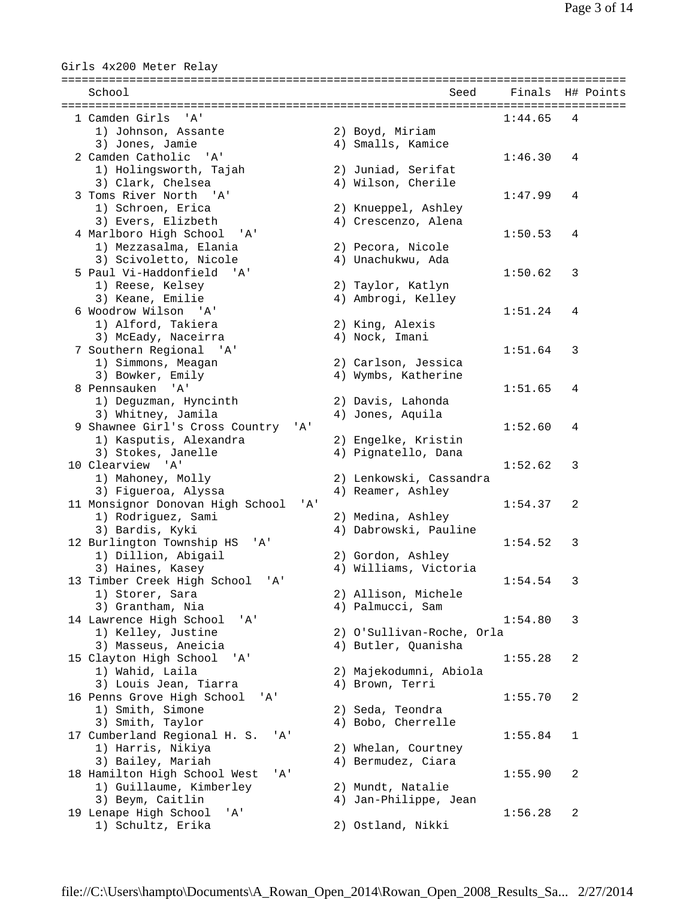| Girls 4x200 Meter Relay                         |                           |         |           |
|-------------------------------------------------|---------------------------|---------|-----------|
|                                                 |                           |         |           |
| School                                          | Seed                      | Finals  | H# Points |
| 1 Camden Girls<br>'A'                           |                           | 1:44.65 | 4         |
| 1) Johnson, Assante                             | 2) Boyd, Miriam           |         |           |
| 3) Jones, Jamie                                 | 4) Smalls, Kamice         |         |           |
| 2 Camden Catholic<br>' A '                      |                           | 1:46.30 | 4         |
| 1) Holingsworth, Tajah                          | 2) Juniad, Serifat        |         |           |
| 3) Clark, Chelsea                               | 4) Wilson, Cherile        |         |           |
| 3 Toms River North<br>$^{\prime}$ A $^{\prime}$ |                           | 1:47.99 | 4         |
| 1) Schroen, Erica                               | 2) Knueppel, Ashley       |         |           |
| 3) Evers, Elizbeth                              | 4) Crescenzo, Alena       |         |           |
| 4 Marlboro High School<br>'' A '                |                           | 1:50.53 | 4         |
| 1) Mezzasalma, Elania                           | 2) Pecora, Nicole         |         |           |
| 3) Scivoletto, Nicole                           | 4) Unachukwu, Ada         |         |           |
| 5 Paul Vi-Haddonfield<br>' A'                   |                           | 1:50.62 | 3         |
| 1) Reese, Kelsey                                | 2) Taylor, Katlyn         |         |           |
| 3) Keane, Emilie                                | 4) Ambrogi, Kelley        |         |           |
| 6 Woodrow Wilson<br>' A '                       |                           | 1:51.24 | 4         |
| 1) Alford, Takiera                              | 2) King, Alexis           |         |           |
| 3) McEady, Naceirra                             | 4) Nock, Imani            |         |           |
| 7 Southern Regional<br>'' A '                   |                           | 1:51.64 | 3         |
| 1) Simmons, Meagan                              | 2) Carlson, Jessica       |         |           |
| 3) Bowker, Emily                                | 4) Wymbs, Katherine       |         |           |
| ' A'<br>8 Pennsauken                            |                           | 1:51.65 | 4         |
| 1) Deguzman, Hyncinth                           | 2) Davis, Lahonda         |         |           |
| 3) Whitney, Jamila                              | 4) Jones, Aquila          |         |           |
| 9 Shawnee Girl's Cross Country<br>'A'           |                           | 1:52.60 | 4         |
| 1) Kasputis, Alexandra                          | 2) Engelke, Kristin       |         |           |
| 3) Stokes, Janelle                              | 4) Pignatello, Dana       |         |           |
| 10 Clearview 'A'                                |                           | 1:52.62 | 3         |
| 1) Mahoney, Molly                               | 2) Lenkowski, Cassandra   |         |           |
| 3) Figueroa, Alyssa                             | 4) Reamer, Ashley         |         |           |
| 11 Monsignor Donovan High School<br>' A '       |                           | 1:54.37 | 2         |
| 1) Rodriguez, Sami                              | 2) Medina, Ashley         |         |           |
| 3) Bardis, Kyki                                 | 4) Dabrowski, Pauline     |         |           |
| 12 Burlington Township HS<br>'A'                |                           | 1:54.52 | 3         |
| 1) Dillion, Abigail                             | 2) Gordon, Ashley         |         |           |
| 3) Haines, Kasey                                | 4) Williams, Victoria     |         |           |
| 13 Timber Creek High School<br>'A'              |                           | 1:54.54 | 3         |
| 1) Storer, Sara                                 | 2) Allison, Michele       |         |           |
| 3) Grantham, Nia                                | 4) Palmucci, Sam          |         |           |
| 14 Lawrence High School<br>'A'                  |                           | 1:54.80 | 3         |
| 1) Kelley, Justine                              | 2) O'Sullivan-Roche, Orla |         |           |
| 3) Masseus, Aneicia                             | 4) Butler, Quanisha       |         |           |
| 15 Clayton High School<br>'A'                   |                           | 1:55.28 | 2         |
| 1) Wahid, Laila                                 | 2) Majekodumni, Abiola    |         |           |
| 3) Louis Jean, Tiarra                           | 4) Brown, Terri           |         |           |
| 16 Penns Grove High School<br>'A'               |                           | 1:55.70 | 2         |
| 1) Smith, Simone                                | 2) Seda, Teondra          |         |           |
| 3) Smith, Taylor                                | 4) Bobo, Cherrelle        |         |           |
| 17 Cumberland Regional H. S.<br>'A'             |                           | 1:55.84 | 1         |
| 1) Harris, Nikiya                               | 2) Whelan, Courtney       |         |           |
| 3) Bailey, Mariah                               | 4) Bermudez, Ciara        |         |           |
| 18 Hamilton High School West<br>'A'             |                           | 1:55.90 | 2         |
| 1) Guillaume, Kimberley                         | 2) Mundt, Natalie         |         |           |
| 3) Beym, Caitlin                                | 4) Jan-Philippe, Jean     |         |           |
| 19 Lenape High School<br>'A'                    |                           | 1:56.28 | 2         |
| 1) Schultz, Erika                               | 2) Ostland, Nikki         |         |           |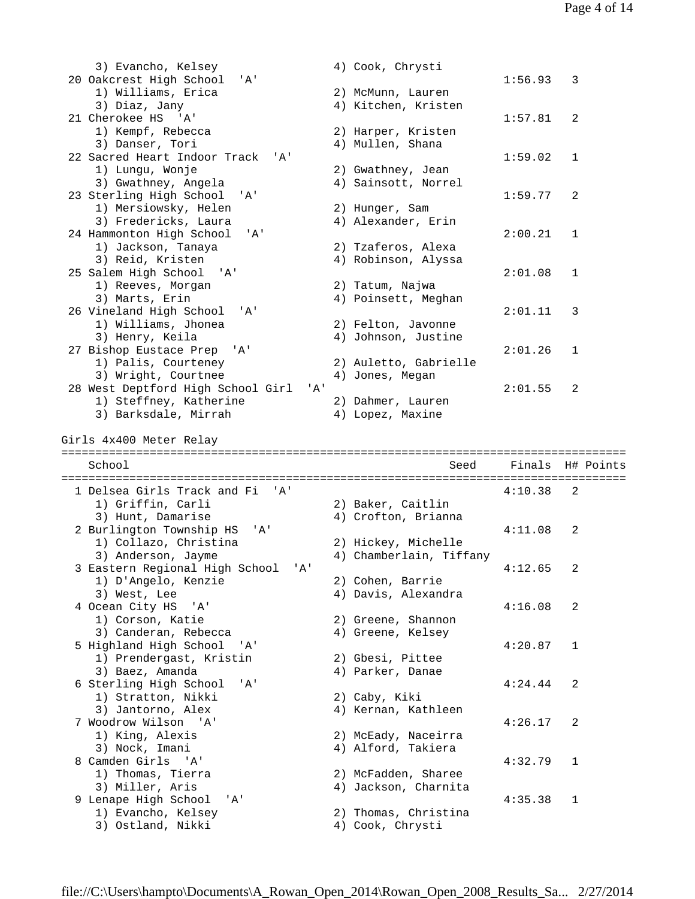3) Evancho, Kelsey (4) Cook, Chrysti 20 Oakcrest High School 'A' 1:56.93 3 1) Williams, Erica 2) McMunn, Lauren 3) Diaz, Jany 4) Kitchen, Kristen 21 Cherokee HS 'A' 1:57.81 2<br>1) Kempf, Rebecca 2) Harper, Kristen 2) Harper, Kristen 3) Danser, Tori (4) Mullen, Shana 22 Sacred Heart Indoor Track 'A' 1:59.02 1 1) Lungu, Wonje 2) Gwathney, Jean 3) Gwathney, Angela 4) Sainsott, Norrel 23 Sterling High School 'A' 1:59.77 2<br>1) Mersiowsky, Helen 2) Hunger, Sam 1) Mersiowsky, Helen 2) Hunger, Sam 3) Fredericks, Laura 4) Alexander, Erin 24 Hammonton High School 'A' 2:00.21 1 1) Jackson, Tanaya 2) Tzaferos, Alexa 3) Reid, Kristen (4) Robinson, Alyssa 25 Salem High School 'A' 2:01.08 1 1) Reeves, Morgan 2) Tatum, Najwa 3) Marts, Erin 1988 (2008) 4 Poinsett, Meghan 26 Vineland High School 'A' 2:01.11 3 1) Williams, Jhonea 2) Felton, Javonne 3) Henry, Keila (4) Johnson, Justine 27 Bishop Eustace Prep 'A' 2:01.26 1 1) Palis, Courteney 2) Auletto, Gabrielle 3) Wright, Courtnee (4) Jones, Megan 28 West Deptford High School Girl 'A' 2:01.55 2 1) Steffney, Katherine 2) Dahmer, Lauren 3) Barksdale, Mirrah (4) Lopez, Maxine Girls 4x400 Meter Relay =================================================================================== School Seed Finals H# Points =================================================================================== 1 Delsea Girls Track and Fi 'A' 4:10.38 2 1) Griffin, Carli 2) Baker, Caitlin 3) Hunt, Damarise (4) Crofton, Brianna 2 Burlington Township HS 'A' 4:11.08 2 1) Collazo, Christina 2) Hickey, Michelle 3) Anderson, Jayme 4) Chamberlain, Tiffany 3 Eastern Regional High School 'A' 4:12.65 2 1) D'Angelo, Kenzie 2) Cohen, Barrie 3) West, Lee  $\begin{array}{ccc} 3 & 4 \end{array}$  Davis, Alexandra 4 Ocean City HS 'A' 4:16.08 2<br>
1) Corson, Katie 2) Greene, Shannon 1) Corson, Katie 2) Greene, Shannon 3) Canderan, Rebecca (4) Greene, Kelsey 5 Highland High School 'A' 4:20.87 1 1) Prendergast, Kristin 2) Gbesi, Pittee 3) Baez, Amanda 4) Parker, Danae 6 Sterling High School 'A' 4:24.44 2 1) Stratton, Nikki 2) Caby, Kiki 3) Jantorno, Alex (4) Kernan, Kathleen 7 Woodrow Wilson 'A' 4:26.17 2 1) King, Alexis 2) McEady, Naceirra 3) Nock, Imani 4) Alford, Takiera 8 Camden Girls 'A' 4:32.79 1 1) Thomas, Tierra 2) McFadden, Sharee 3) Miller, Aris 4) Jackson, Charnita 9 Lenape High School 'A' 4:35.38 1 1) Evancho, Kelsey 2) Thomas, Christina 3) Ostland, Nikki 4) Cook, Chrysti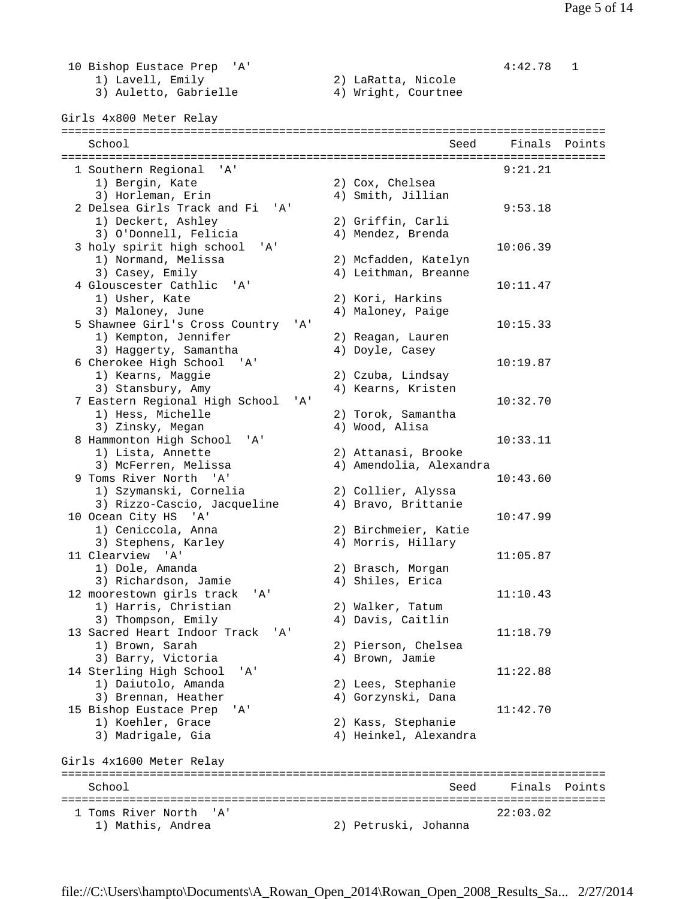10 Bishop Eustace Prep 'A' 4:42.78 1 1) Lavell, Emily 2) LaRatta, Nicole 3) Auletto, Gabrielle 4) Wright, Courtnee Girls 4x800 Meter Relay ================================================================================ School Seed Finals Points ================================================================================ 1 Southern Regional 'A' 9:21.21 1) Bergin, Kate 2) Cox, Chelsea 3) Horleman, Erin 1988 (4) Smith, Jillian 2 Delsea Girls Track and Fi 'A' 9:53.18<br>1) Deckert, Ashley 2) Griffin, Carli 1) Deckert, Ashley 2) Griffin, Carli 3) O'Donnell, Felicia 4) Mendez, Brenda 3 holy spirit high school 'A' 10:06.39 1) Normand, Melissa 2) Mcfadden, Katelyn 3) Casey, Emily 4) Leithman, Breanne 4 Glouscester Cathlic 'A' 10:11.47 1) Usher, Kate 2) Kori, Harkins 3) Maloney, June 4) Maloney, Paige 5 Shawnee Girl's Cross Country 'A' 10:15.33<br>1) Kempton, Jennifer 2) Reagan, Lauren 1) Kempton, Jennifer 3) Haggerty, Samantha 4) Doyle, Casey 6 Cherokee High School 'A' 10:19.87 1) Kearns, Maggie 2) Czuba, Lindsay 3) Stansbury, Amy 1988 (4) Kearns, Kristen 7 Eastern Regional High School 'A' 10:32.70 1) Hess, Michelle 2) Torok, Samantha 3) Zinsky, Megan 4) Wood, Alisa 8 Hammonton High School 'A' 10:33.11 1) Lista, Annette 2) Attanasi, Brooke 3) McFerren, Melissa 4) Amendolia, Alexandra 9 Toms River North 'A' 10:43.60 1) Szymanski, Cornelia 2) Collier, Alyssa 3) Rizzo-Cascio, Jacqueline 4) Bravo, Brittanie 10 Ocean City HS 'A' 10:47.99 1) Ceniccola, Anna 2) Birchmeier, Katie 3) Stephens, Karley (4) Morris, Hillary<br>2) Morris, Hillary 11 Clearview 'A' 11:05.87 1) Dole, Amanda<br>3) Richardson, Jamie (2) 9) Shiles, Erica 3) Richardson, Jamie<br>1986: Erica 12 moorestown girls track 'A' 11:10.43 1) Harris, Christian 2) Walker, Tatum 3) Thompson, Emily 4) Davis, Caitlin 13 Sacred Heart Indoor Track 'A' 11:18.79 1) Brown, Sarah 2) Pierson, Chelsea<br>3) Barry, Victoria (2) 4) Brown, Jamie 3) Barry, Victoria 14 Sterling High School 'A' 11:22.88 1) Daiutolo, Amanda 2) Lees, Stephanie 3) Brennan, Heather 4) Gorzynski, Dana 15 Bishop Eustace Prep 'A' 11:42.70 1) Koehler, Grace 2) Kass, Stephanie 3) Madrigale, Gia (4) Heinkel, Alexandra Girls 4x1600 Meter Relay ================================================================================ School Seed Finals Points ================================================================================ 1 Toms River North 'A' 22:03.02 1) Mathis, Andrea 2) Petruski, Johanna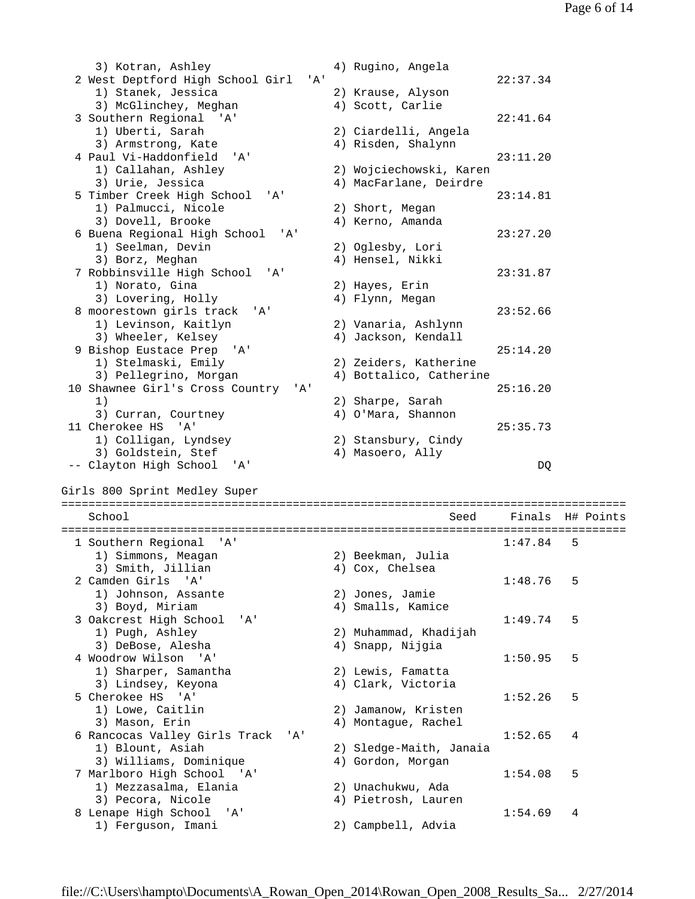3) Kotran, Ashley (4) Rugino, Angela 2 West Deptford High School Girl 'A' 22:37.34 1) Stanek, Jessica 2) Krause, Alyson 3) McGlinchey, Meghan (4) Scott, Carlie 3 Southern Regional 'A' 22:41.64 1) Uberti, Sarah 2) Ciardelli, Angela 3) Armstrong, Kate 4) Risden, Shalynn 4 Paul Vi-Haddonfield 'A' 23:11.20 1) Callahan, Ashley 2) Wojciechowski, Karen 3) Urie, Jessica 4) MacFarlane, Deirdre 5 Timber Creek High School 'A' 23:14.81 1) Palmucci, Nicole 2) Short, Megan<br>
2) Short, Megan<br>
<sup>4)</sup> Korne Amanda 3) Dovell, Brooke 4) Kerno, Amanda 6 Buena Regional High School 'A' 23:27.20 1) Seelman, Devin 2) Oglesby, Lori 3) Borz, Meghan (4) Hensel, Nikki 7 Robbinsville High School 'A' 23:31.87 1) Norato, Gina 2) Hayes, Erin 3) Lovering, Holly (4) Flynn, Megan 8 moorestown girls track 'A' 23:52.66 1) Levinson, Kaitlyn 2) Vanaria, Ashlynn 3) Wheeler, Kelsey 4) Jackson, Kendall 9 Bishop Eustace Prep 'A' 25:14.20 1) Stelmaski, Emily 2) Zeiders, Katherine 3) Pellegrino, Morgan 4) Bottalico, Catherine 10 Shawnee Girl's Cross Country 'A' 29:16.20<br>
2) Sharpe, Sarah 1) 2) Sharpe, Sarah 3) Curran, Courtney 4) O'Mara, Shannon 11 Cherokee HS 'A' 25:35.73 1) Colligan, Lyndsey 2) Stansbury, Cindy 3) Goldstein, Stef (4) Masoero, Ally -- Clayton High School 'A' DQ Girls 800 Sprint Medley Super =================================================================================== School Seed Finals H# Points =================================================================================== 1 Southern Regional 'A' 1:47.84 5 1) Simmons, Meagan 2) Beekman, Julia 3) Smith, Jillian 4) Cox, Chelsea 2 Camden Girls 'A' 1:48.76 5 1) Johnson, Assante (1988)<br>
2) Jones, Jamie<br>
3) Boyd, Miriam (2) 4) Smalls, Kamice 3) Boyd, Miriam (4) Smalls, Kamice 3 Oakcrest High School 'A' 1:49.74 5 1) Pugh, Ashley 2) Muhammad, Khadijah 3) DeBose, Alesha (4) Snapp, Nijgia 4 Woodrow Wilson 'A' 1:50.95 5 2) Lewis, Famatta 1) Sharper, Samantha (2) Lewis, Famatta<br>3) Lindsey, Keyona (4) Clark, Victoria 5 Cherokee HS 'A' 1:52.26 5 1) Lowe, Caitlin 2) Jamanow, Kristen 3) Mason, Erin 1997 (2008) 4 Montague, Rachel 6 Rancocas Valley Girls Track 'A' 1:52.65 4 1) Blount, Asiah 2) Sledge-Maith, Janaia 3) Williams, Dominique 4) Gordon, Morgan 7 Marlboro High School 'A' 1:54.08 5 1) Mezzasalma, Elania 2) Unachukwu, Ada 3) Pecora, Nicole 4) Pietrosh, Lauren 8 Lenape High School 'A' 1:54.69 4 1) Ferguson, Imani 2) Campbell, Advia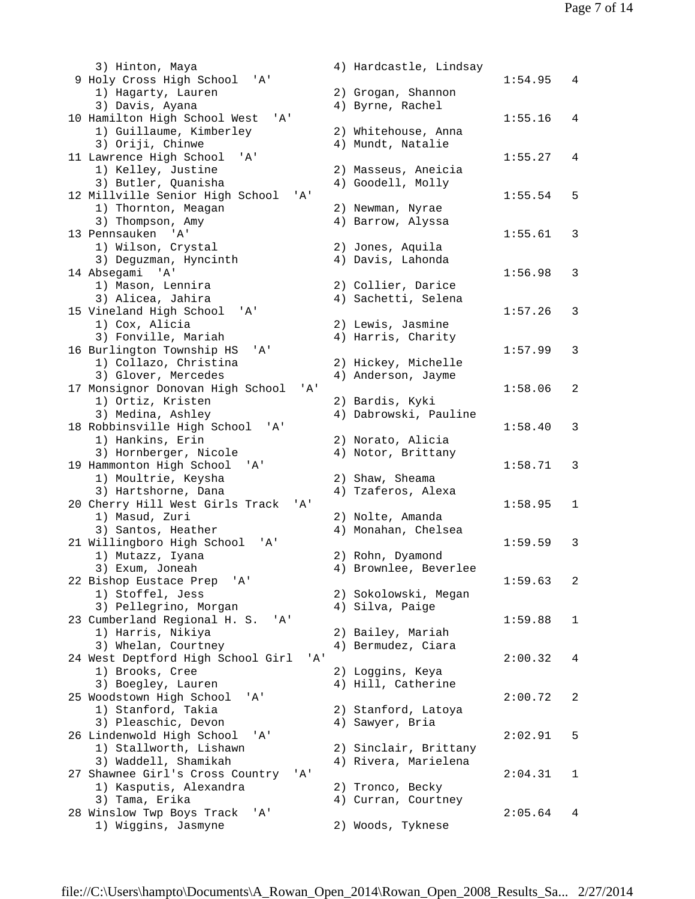3) Hinton, Maya 9 Holy Cross High School 'A' 1) Hagarty, Lauren 3) Davis, Ayana 10 Hamilton High School West 'A' 1) Guillaume, Kimberley 3) Oriji, Chinwe 11 Lawrence High School 'A' 1) Kelley, Justine 3) Butler, Quanisha 12 Millville Senior High School 'A' 1) Thornton, Meagan 3) Thompson, Amy 13 Pennsauken 'A' 1) Wilson, Crystal 3) Deguzman, Hyncinth 14 Absegami 'A' 1) Mason, Lennira 3) Alicea, Jahira 15 Vineland High School 'A' 1) Cox, Alicia 3) Fonville, Mariah 16 Burlington Township HS 'A' 1) Collazo, Christina 3) Glover, Mercedes 17 Monsignor Donovan High School 'A' 1) Ortiz, Kristen 3) Medina, Ashley 18 Robbinsville High School 'A' 1) Hankins, Erin 3) Hornberger, Nicole 19 Hammonton High School 'A' 1) Moultrie, Keysha 3) Hartshorne, Dana 20 Cherry Hill West Girls Track 'A' 1) Masud, Zuri 3) Santos, Heather 21 Willingboro High School 'A' 1) Mutazz, Iyana 3) Exum, Joneah 22 Bishop Eustace Prep 'A' 1) Stoffel, Jess 3) Pellegrino, Morgan 23 Cumberland Regional H. S. 'A' 1) Harris, Nikiya 3) Whelan, Courtney 24 West Deptford High School Girl 'A 1) Brooks, Cree 3) Boegley, Lauren 25 Woodstown High School 'A' 1) Stanford, Takia 3) Pleaschic, Devon 26 Lindenwold High School 'A' 1) Stallworth, Lishawn 3) Waddell, Shamikah 27 Shawnee Girl's Cross Country 'A' 1) Kasputis, Alexandra 3) Tama, Erika 28 Winslow Twp Boys Track 'A' 1) Wiggins, Jasmyne 2) Woods, Tyknese

|   |    | 4) Hardcastle, Lindsay                        |         |                |
|---|----|-----------------------------------------------|---------|----------------|
|   |    | 2) Grogan, Shannon                            | 1:54.95 | $\overline{4}$ |
|   |    | 4) Byrne, Rachel                              |         |                |
|   |    | 2) Whitehouse, Anna                           | 1:55.16 | 4              |
|   |    | 4) Mundt, Natalie                             |         |                |
|   |    | 2) Masseus, Aneicia                           | 1:55.27 | 4              |
|   |    | 4) Goodell, Molly                             |         |                |
|   |    |                                               | 1:55.54 | 5              |
|   |    | 2) Newman, Nyrae<br>4) Barrow, Alyssa         |         |                |
|   |    |                                               | 1:55.61 | 3              |
|   |    | 2) Jones, Aquila<br>4) Davis, Lahonda         |         |                |
|   |    |                                               | 1:56.98 | 3              |
|   |    | 2) Collier, Darice<br>4) Sachetti, Selena     |         |                |
|   |    |                                               | 1:57.26 | 3              |
|   |    | 2) Lewis, Jasmine<br>4) Harris, Charity       |         |                |
|   |    |                                               | 1:57.99 | 3              |
|   |    | 2) Hickey, Michelle                           |         |                |
|   |    | 4) Anderson, Jayme                            | 1:58.06 | 2              |
|   |    | 2) Bardis, Kyki                               |         |                |
|   |    | 4) Dabrowski, Pauline                         | 1:58.40 | 3              |
|   |    | 2) Norato, Alicia                             |         |                |
|   | 4) | Notor, Brittany                               | 1:58.71 | 3              |
|   |    | 2) Shaw, Sheama                               |         |                |
|   |    | 4) Tzaferos, Alexa                            | 1:58.95 | 1              |
|   |    | 2) Nolte, Amanda                              |         |                |
|   |    | 4) Monahan, Chelsea                           | 1:59.59 |                |
|   |    | 2) Rohn, Dyamond                              |         | 3              |
|   |    | 4) Brownlee, Beverlee                         |         |                |
|   |    | 2) Sokolowski, Megan                          | 1:59.63 | 2              |
|   |    | 4) Silva, Paige                               |         |                |
|   |    | 2) Bailey, Mariah                             | 1:59.88 | 1              |
|   |    | 4) Bermudez, Ciara                            |         |                |
| ī |    | 2) Loggins, Keya                              | 2:00.32 | 4              |
|   |    | 4) Hill, Catherine                            |         |                |
|   |    | 2) Stanford, Latoya                           | 2:00.72 | 2              |
|   |    | 4) Sawyer, Bria                               |         |                |
|   |    |                                               | 2:02.91 | 5              |
|   |    | 2) Sinclair, Brittany<br>4) Rivera, Marielena |         |                |
|   |    |                                               | 2:04.31 | $\mathbf 1$    |
|   |    | 2) Tronco, Becky<br>4) Curran, Courtney       |         |                |
|   |    |                                               | 2:05.64 | 4              |
|   |    | $\overline{a}$                                |         |                |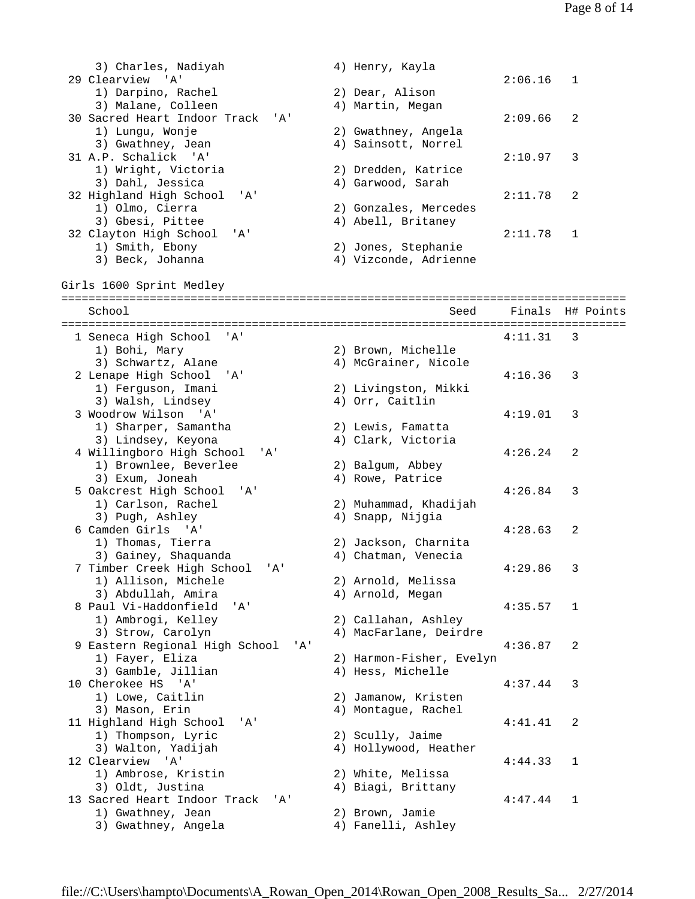3) Charles, Nadiyah (4) Henry, Kayla 29 Clearview 'A' 2:06.16 1 1) Darpino, Rachel 2) Dear, Alison 3) Malane, Colleen 4) Martin, Megan 30 Sacred Heart Indoor Track 'A' 2:09.66 2 1) Lungu, Wonje 2) Gwathney, Angela 3) Gwathney, Jean 4) Sainsott, Norrel 31 A.P. Schalick 'A' 2:10.97 3 2) Dredden, Katrice 1) Wright, Victoria (2) Dredden, Katrice<br>3) Dahl, Jessica (3) 4) Garwood, Sarah 32 Highland High School 'A' 2:11.78 2 2) Gonzales, Mercedes<br>4) Abell, Britaney 1) Olmo, Cierra<br>3) Gbesi, Pittee 32 Clayton High School 'A' 2:11.78 1 1) Smith, Ebony 2) Jones, Stephanie 3) Beck, Johanna (4) Vizconde, Adrienne Girls 1600 Sprint Medley =================================================================================== School School Seed Finals H# Points =================================================================================== 1 Seneca High School 'A' 4:11.31 3 1) Bohi, Mary 2) Brown, Michelle 3) Schwartz, Alane 4) McGrainer, Nicole 2 Lenape High School 'A' 4:16.36 3 1) Ferguson, Imani 2) Livingston, Mikki 3) Walsh, Lindsey 4) Orr, Caitlin 3 Woodrow Wilson 'A' 4:19.01 3 1) Sharper, Samantha 2) Lewis, Famatta 3) Lindsey, Keyona (4) Clark, Victoria 4 Willingboro High School 'A' 4:26.24 2 1) Brownlee, Beverlee 2) Balgum, Abbey 3) Exum, Joneah  $4)$  Rowe, Patrice 5 Oakcrest High School 'A' 4:26.84 3 1) Carlson, Rachel 2) Muhammad, Khadijah 3) Pugh, Ashley 4) Snapp, Nijgia 6 Camden Girls 'A' 4:28.63 2 1) Thomas, Tierra 2) Jackson, Charnita 3) Gainey, Shaquanda (4) 4) Chatman, Venecia 7 Timber Creek High School 'A' 4:29.86 3 7 Timber Creek High School 'A'<br>1) Allison, Michele 2) Arnold, Melissa<br>3) Abdullah, Amira 4) Arnold, Megan 3) Abdullah, Amira 8 Paul Vi-Haddonfield 'A' 4:35.57 1 1) Ambrogi, Kelley 2) Callahan, Ashley 3) Strow, Carolyn 4) MacFarlane, Deirdre 9 Eastern Regional High School 'A' 4:36.87 2 1) Fayer, Eliza 2) Harmon-Fisher, Evelyn 3) Gamble, Jillian (4) Hess, Michelle 10 Cherokee HS 'A' 4:37.44 3 1) Lowe, Caitlin 2) Jamanow, Kristen<br>2) Jamanow, Kristen<br>2) Montague Rachel 3) Mason, Erin 1988 (2008) Montague, Rachel 11 Highland High School 'A' 4:41.41 2 1) Thompson, Lyric 2) Scully, Jaime 3) Walton, Yadijah 4) Hollywood, Heather 12 Clearview 'A' 4:44.33 1 1) Ambrose, Kristin 2) White, Melissa 3) Oldt, Justina 4) Biagi, Brittany 13 Sacred Heart Indoor Track 'A' 4:47.44 1 1) Gwathney, Jean 2) Brown, Jamie 3) Gwathney, Angela (4) Fanelli, Ashley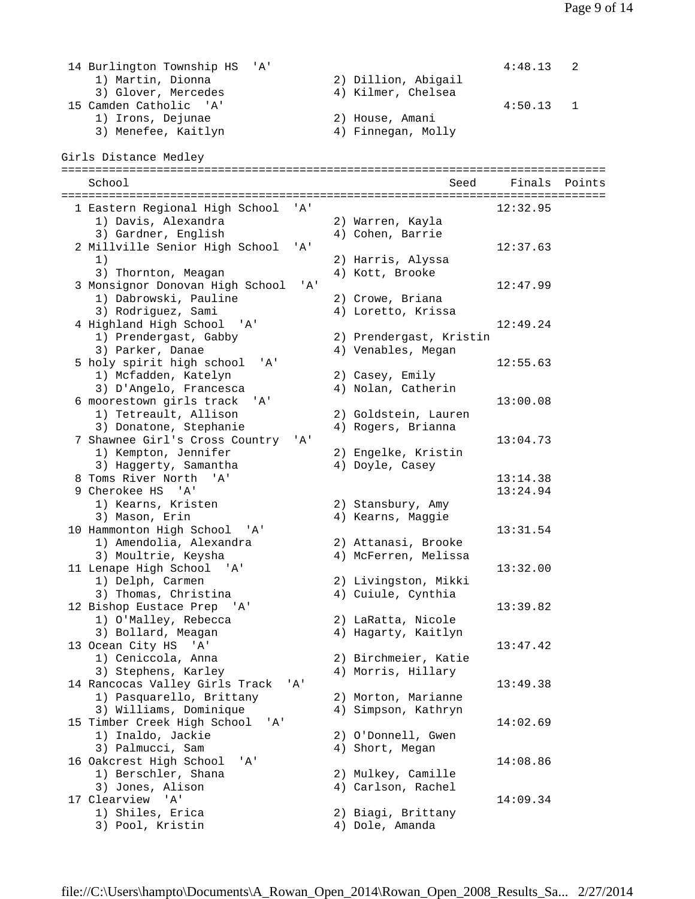| 14 Burlington Township HS<br>'A'                         |      |                                        | 4:48.13  | 2            |
|----------------------------------------------------------|------|----------------------------------------|----------|--------------|
| 1) Martin, Dionna                                        |      | 2) Dillion, Abigail                    |          |              |
| 3) Glover, Mercedes                                      |      | 4) Kilmer, Chelsea                     |          |              |
| 15 Camden Catholic<br>' A'                               |      |                                        | 4:50.13  | $\mathbf{1}$ |
| 1) Irons, Dejunae                                        |      | 2) House, Amani                        |          |              |
| 3) Menefee, Kaitlyn                                      |      | 4) Finnegan, Molly                     |          |              |
|                                                          |      |                                        |          |              |
| Girls Distance Medley                                    |      |                                        |          |              |
|                                                          |      |                                        |          |              |
| School                                                   |      | Seed                                   | Finals   | Points       |
|                                                          |      |                                        |          |              |
| 1 Eastern Regional High School<br>'A'                    |      |                                        | 12:32.95 |              |
| 1) Davis, Alexandra                                      |      | 2) Warren, Kayla                       |          |              |
| 3) Gardner, English                                      |      | 4) Cohen, Barrie                       |          |              |
| 2 Millville Senior High School<br>'A'                    |      |                                        | 12:37.63 |              |
| 1)                                                       |      | 2) Harris, Alyssa                      |          |              |
| 3) Thornton, Meagan                                      |      | 4) Kott, Brooke                        |          |              |
| 3 Monsignor Donovan High School                          | ' A' |                                        | 12:47.99 |              |
| 1) Dabrowski, Pauline                                    |      | 2) Crowe, Briana                       |          |              |
| 3) Rodriguez, Sami                                       |      | 4) Loretto, Krissa                     |          |              |
| 4 Highland High School 'A'                               |      |                                        | 12:49.24 |              |
| 1) Prendergast, Gabby                                    |      | 2) Prendergast, Kristin                |          |              |
| 3) Parker, Danae                                         |      | 4) Venables, Megan                     |          |              |
| 5 holy spirit high school<br>'A'                         |      |                                        | 12:55.63 |              |
| 1) Mcfadden, Katelyn                                     |      | 2) Casey, Emily                        |          |              |
| 3) D'Angelo, Francesca                                   |      | 4) Nolan, Catherin                     |          |              |
| 6 moorestown girls track<br>'A'<br>1) Tetreault, Allison |      |                                        | 13:00.08 |              |
|                                                          |      | 2) Goldstein, Lauren                   |          |              |
| 3) Donatone, Stephanie<br>7 Shawnee Girl's Cross Country |      | 4) Rogers, Brianna                     |          |              |
| 'A'                                                      |      |                                        | 13:04.73 |              |
| 1) Kempton, Jennifer<br>3) Haggerty, Samantha            |      | 2) Engelke, Kristin<br>4) Doyle, Casey |          |              |
| 8 Toms River North<br>' A '                              |      |                                        | 13:14.38 |              |
| 9 Cherokee HS<br>$^{\prime}$ A $^{\prime}$               |      |                                        | 13:24.94 |              |
| 1) Kearns, Kristen                                       |      | 2) Stansbury, Amy                      |          |              |
| 3) Mason, Erin                                           |      | 4) Kearns, Maggie                      |          |              |
| 10 Hammonton High School<br>'A'                          |      |                                        | 13:31.54 |              |
| 1) Amendolia, Alexandra                                  |      | 2) Attanasi, Brooke                    |          |              |
| 3) Moultrie, Keysha                                      |      | 4) McFerren, Melissa                   |          |              |
| 11 Lenape High School<br>" A '                           |      |                                        | 13:32.00 |              |
| 1) Delph, Carmen                                         |      | 2) Livingston, Mikki                   |          |              |
| 3) Thomas, Christina                                     |      | 4) Cuiule, Cynthia                     |          |              |
| 12 Bishop Eustace Prep 'A'                               |      |                                        | 13:39.82 |              |
| 1) O'Malley, Rebecca                                     |      | 2) LaRatta, Nicole                     |          |              |
| 3) Bollard, Meagan                                       |      | 4) Hagarty, Kaitlyn                    |          |              |
| 13 Ocean City HS 'A'                                     |      |                                        | 13:47.42 |              |
| 1) Ceniccola, Anna                                       |      | 2) Birchmeier, Katie                   |          |              |
| 3) Stephens, Karley                                      |      | 4) Morris, Hillary                     |          |              |
| 14 Rancocas Valley Girls Track<br>' A '                  |      |                                        | 13:49.38 |              |
| 1) Pasquarello, Brittany                                 |      | 2) Morton, Marianne                    |          |              |
| 3) Williams, Dominique                                   |      | 4) Simpson, Kathryn                    |          |              |
| 15 Timber Creek High School<br>'A'                       |      |                                        | 14:02.69 |              |
| 1) Inaldo, Jackie                                        |      | 2) O'Donnell, Gwen                     |          |              |
| 3) Palmucci, Sam                                         |      | 4) Short, Megan                        |          |              |
| 16 Oakcrest High School<br>' A'                          |      |                                        | 14:08.86 |              |
| 1) Berschler, Shana                                      |      | 2) Mulkey, Camille                     |          |              |
| 3) Jones, Alison                                         |      | 4) Carlson, Rachel                     |          |              |
| 17 Clearview 'A'                                         |      |                                        | 14:09.34 |              |
| 1) Shiles, Erica                                         |      | 2) Biagi, Brittany                     |          |              |
| 3) Pool, Kristin                                         |      | 4) Dole, Amanda                        |          |              |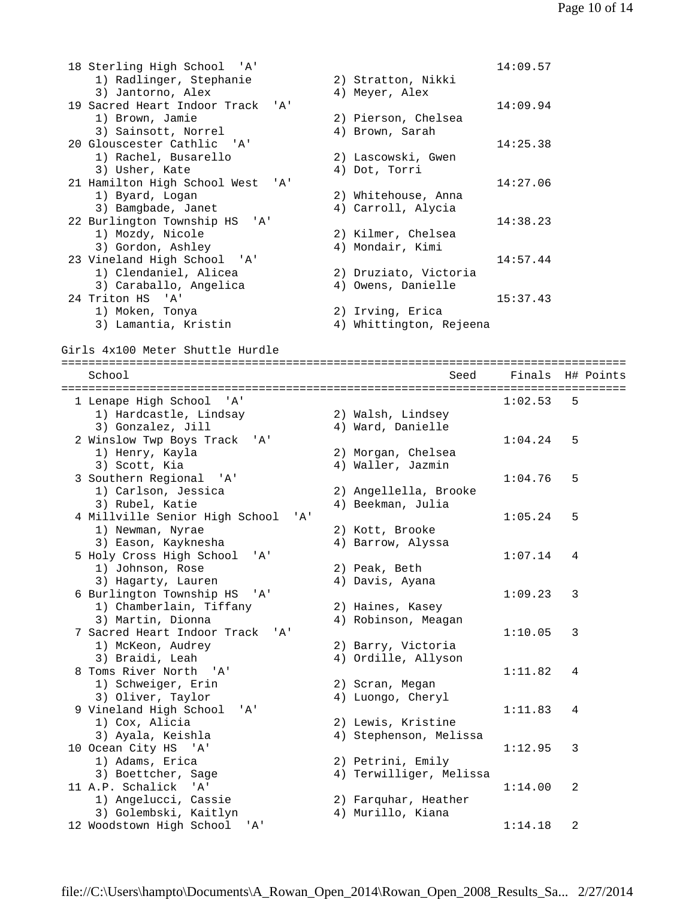| 18 Sterling High School 'A'                            |                         | 14:09.57 |           |
|--------------------------------------------------------|-------------------------|----------|-----------|
| 1) Radlinger, Stephanie                                | 2) Stratton, Nikki      |          |           |
| 3) Jantorno, Alex                                      | 4) Meyer, Alex          |          |           |
| 19 Sacred Heart Indoor Track<br>'A'                    |                         | 14:09.94 |           |
|                                                        |                         |          |           |
| 1) Brown, Jamie                                        | 2) Pierson, Chelsea     |          |           |
| 3) Sainsott, Norrel                                    | 4) Brown, Sarah         |          |           |
| 20 Glouscester Cathlic 'A'                             |                         | 14:25.38 |           |
| 1) Rachel, Busarello                                   | 2) Lascowski, Gwen      |          |           |
| 3) Usher, Kate                                         | 4) Dot, Torri           |          |           |
| 21 Hamilton High School West<br>'A'                    |                         | 14:27.06 |           |
| 1) Byard, Logan                                        | 2) Whitehouse, Anna     |          |           |
| 3) Bamgbade, Janet                                     | 4) Carroll, Alycia      |          |           |
| 22 Burlington Township HS<br>$^{\prime}$ A $^{\prime}$ |                         | 14:38.23 |           |
| 1) Mozdy, Nicole                                       | 2) Kilmer, Chelsea      |          |           |
|                                                        |                         |          |           |
| 3) Gordon, Ashley                                      | 4) Mondair, Kimi        |          |           |
| 23 Vineland High School<br>' A '                       |                         | 14:57.44 |           |
| 1) Clendaniel, Alicea                                  | 2) Druziato, Victoria   |          |           |
| 3) Caraballo, Angelica                                 | 4) Owens, Danielle      |          |           |
| 24 Triton HS 'A'                                       |                         | 15:37.43 |           |
| 1) Moken, Tonya                                        | 2) Irving, Erica        |          |           |
| 3) Lamantia, Kristin                                   | 4) Whittington, Rejeena |          |           |
|                                                        |                         |          |           |
| Girls 4x100 Meter Shuttle Hurdle                       |                         |          |           |
|                                                        |                         |          |           |
| School                                                 |                         | Finals   |           |
|                                                        | Seed                    |          | H# Points |
|                                                        |                         |          |           |
| 1 Lenape High School 'A'                               |                         | 1:02.53  | 5         |
| 1) Hardcastle, Lindsay                                 | 2) Walsh, Lindsey       |          |           |
| 3) Gonzalez, Jill                                      | 4) Ward, Danielle       |          |           |
| 2 Winslow Twp Boys Track 'A'                           |                         | 1:04.24  | 5         |
| 1) Henry, Kayla                                        | 2) Morgan, Chelsea      |          |           |
|                                                        |                         |          |           |
|                                                        |                         |          |           |
| 3) Scott, Kia                                          | 4) Waller, Jazmin       |          |           |
| 3 Southern Regional<br>' A '                           |                         | 1:04.76  | 5         |
| 1) Carlson, Jessica                                    | 2) Angellella, Brooke   |          |           |
| 3) Rubel, Katie                                        | 4) Beekman, Julia       |          |           |
| 4 Millville Senior High School<br>' A '                |                         | 1:05.24  | 5         |
| 1) Newman, Nyrae                                       | 2) Kott, Brooke         |          |           |
| 3) Eason, Kayknesha                                    | 4) Barrow, Alyssa       |          |           |
| 5 Holy Cross High School<br>'A'                        |                         | 1:07.14  | 4         |
| 1) Johnson, Rose                                       | 2) Peak, Beth           |          |           |
|                                                        | 4) Davis, Ayana         |          |           |
| 3) Hagarty, Lauren<br>'A'                              |                         | 1:09.23  | 3         |
| 6 Burlington Township HS                               |                         |          |           |
| 1) Chamberlain, Tiffany                                | 2) Haines, Kasey        |          |           |
| 3) Martin, Dionna                                      | 4) Robinson, Meagan     |          |           |
| 7 Sacred Heart Indoor Track<br>'A'                     |                         | 1:10.05  | 3         |
| 1) McKeon, Audrey                                      | 2) Barry, Victoria      |          |           |
| 3) Braidi, Leah                                        | 4) Ordille, Allyson     |          |           |
| 8 Toms River North<br>' A '                            |                         | 1:11.82  | 4         |
| 1) Schweiger, Erin                                     | 2) Scran, Megan         |          |           |
| 3) Oliver, Taylor                                      | 4) Luongo, Cheryl       |          |           |
| 9 Vineland High School<br>'A'                          |                         | 1:11.83  | 4         |
|                                                        |                         |          |           |
| 1) Cox, Alicia                                         | 2) Lewis, Kristine      |          |           |
| 3) Ayala, Keishla                                      | 4) Stephenson, Melissa  |          |           |
| 10 Ocean City HS 'A'                                   |                         | 1:12.95  | 3         |
| 1) Adams, Erica                                        | 2) Petrini, Emily       |          |           |
| 3) Boettcher, Sage                                     | 4) Terwilliger, Melissa |          |           |
| 11 A.P. Schalick<br>'A'                                |                         | 1:14.00  | 2         |
| 1) Angelucci, Cassie                                   | 2) Farquhar, Heather    |          |           |
| 3) Golembski, Kaitlyn<br>12 Woodstown High School      | 4) Murillo, Kiana       | 1:14.18  |           |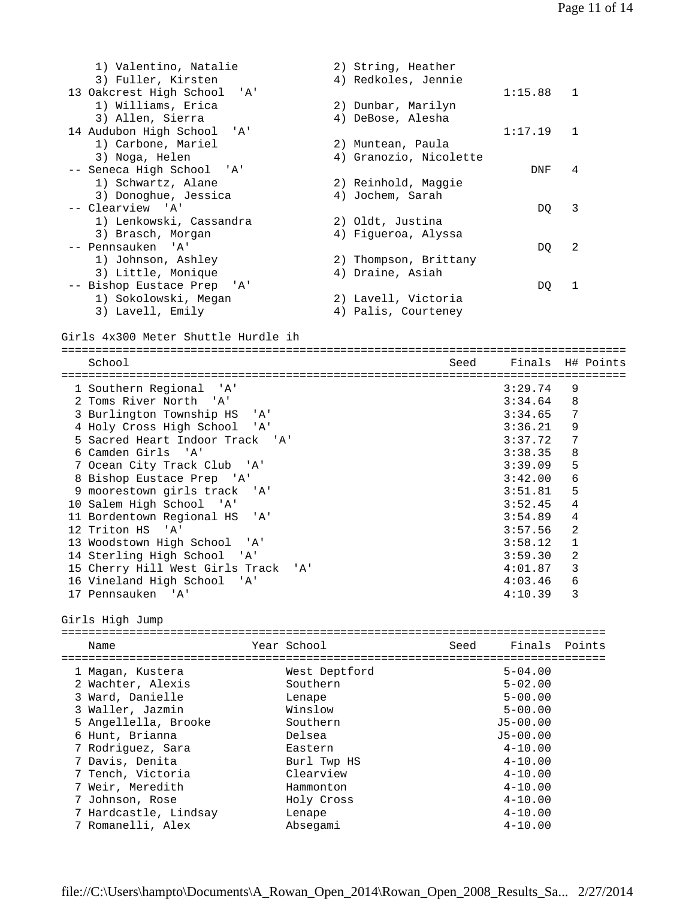| 1) Valentino, Natalie<br>3) Fuller, Kirsten              |               | 2) String, Heather<br>4) Redkoles, Jennie   |                    |                 |
|----------------------------------------------------------|---------------|---------------------------------------------|--------------------|-----------------|
| 13 Oakcrest High School<br>' A'<br>1) Williams, Erica    |               | 2) Dunbar, Marilyn                          | 1:15.88            | 1               |
| 3) Allen, Sierra<br>14 Audubon High School<br>'A'        |               | 4) DeBose, Alesha                           | 1:17.19            | 1               |
| 1) Carbone, Mariel<br>3) Noga, Helen                     |               | 2) Muntean, Paula<br>4) Granozio, Nicolette |                    |                 |
| -- Seneca High School<br>' A'<br>1) Schwartz, Alane      |               | 2) Reinhold, Maggie                         | DNF                | 4               |
| 3) Donoghue, Jessica<br>-- Clearview<br>' A '            |               | 4) Jochem, Sarah                            | DQ                 | 3               |
| 1) Lenkowski, Cassandra<br>3) Brasch, Morgan             |               | 2) Oldt, Justina<br>4) Figueroa, Alyssa     |                    |                 |
| -- Pennsauken<br>' A '<br>1) Johnson, Ashley             |               | 2) Thompson, Brittany                       | DQ                 | 2               |
| 3) Little, Monique                                       |               | 4) Draine, Asiah                            |                    |                 |
| -- Bishop Eustace Prep<br>'A'<br>1) Sokolowski, Megan    |               | 2) Lavell, Victoria                         | DQ                 | 1               |
| 3) Lavell, Emily                                         |               | 4) Palis, Courteney                         |                    |                 |
| Girls 4x300 Meter Shuttle Hurdle ih                      |               |                                             |                    |                 |
| School                                                   |               | Seed                                        | Finals             | H# Points       |
|                                                          |               |                                             |                    |                 |
| 1 Southern Regional<br>'' A '                            |               |                                             | 3:29.74            | 9               |
| 2 Toms River North<br>'' A '                             |               |                                             | 3:34.64            | 8               |
| 3 Burlington Township HS<br>'A'                          |               |                                             | 3:34.65            | 7               |
| 4 Holy Cross High School<br>'A'                          |               |                                             | 3:36.21            | 9               |
| 5 Sacred Heart Indoor Track<br>' A '                     |               |                                             | 3:37.72            | 7               |
| 6 Camden Girls<br>' A'                                   |               |                                             | 3:38.35            | 8               |
| 7 Ocean City Track Club<br>'A'                           |               |                                             | 3:39.09            | 5               |
| 8 Bishop Eustace Prep 'A'                                |               |                                             | 3:42.00            | 6               |
| 9 moorestown girls track<br>'A'                          |               |                                             | 3:51.81            | 5               |
| 10 Salem High School<br>'A'                              |               |                                             | 3:52.45            | $\sqrt{4}$<br>4 |
| 11 Bordentown Regional HS<br>'A'<br>12 Triton HS<br>' A' |               |                                             | 3:54.89<br>3:57.56 | 2               |
| 13 Woodstown High School<br>' A'                         |               |                                             | 3:58.12            | 1               |
| 14 Sterling High School<br>'A'                           |               |                                             | 3:59.30            | 2               |
| 15 Cherry Hill West Girls Track                          | ' A'          |                                             | 4:01.87            | 3               |
| 16 Vineland High School<br>" A '                         |               |                                             | 4:03.46            | 6               |
| 17 Pennsauken<br>' A'                                    |               |                                             | 4:10.39            | 3               |
| Girls High Jump                                          |               |                                             |                    |                 |
| Name                                                     | Year School   | Seed                                        | Finals             | Points          |
|                                                          |               |                                             |                    |                 |
| 1 Maqan, Kustera                                         | West Deptford |                                             | $5 - 04.00$        |                 |
| 2 Wachter, Alexis                                        | Southern      |                                             | $5 - 02.00$        |                 |
| 3 Ward, Danielle                                         | Lenape        |                                             | $5 - 00.00$        |                 |
| 3 Waller, Jazmin                                         | Winslow       |                                             | $5 - 00.00$        |                 |
| 5 Angellella, Brooke                                     | Southern      |                                             | $J5 - 00.00$       |                 |
| 6 Hunt, Brianna                                          | Delsea        |                                             | $J5 - 00.00$       |                 |
| 7 Rodriguez, Sara                                        | Eastern       |                                             | $4 - 10.00$        |                 |
| 7 Davis, Denita                                          | Burl Twp HS   |                                             | $4 - 10.00$        |                 |
| 7 Tench, Victoria                                        | Clearview     |                                             | $4 - 10.00$        |                 |
| 7 Weir, Meredith                                         | Hammonton     |                                             | $4 - 10.00$        |                 |
| 7 Johnson, Rose                                          | Holy Cross    |                                             | $4 - 10.00$        |                 |
| 7 Hardcastle, Lindsay                                    | Lenape        |                                             | $4 - 10.00$        |                 |
| 7 Romanelli, Alex                                        | Absegami      |                                             | $4 - 10.00$        |                 |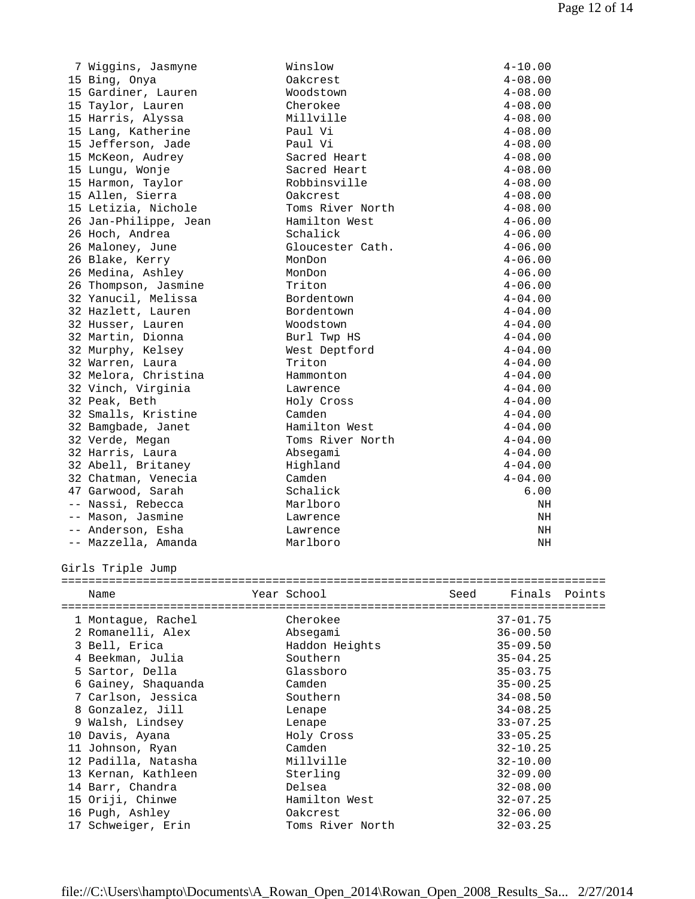| 7 Wiggins, Jasmyne    | Winslow          |      | $4 - 10.00$  |        |
|-----------------------|------------------|------|--------------|--------|
| 15 Bing, Onya         | Oakcrest         |      | $4 - 08.00$  |        |
| 15 Gardiner, Lauren   | Woodstown        |      | $4 - 08.00$  |        |
| 15 Taylor, Lauren     | Cherokee         |      | $4 - 08.00$  |        |
| 15 Harris, Alyssa     | Millville        |      | $4 - 08.00$  |        |
| 15 Lang, Katherine    | Paul Vi          |      | $4 - 08.00$  |        |
| 15 Jefferson, Jade    | Paul Vi          |      | $4 - 08.00$  |        |
| 15 McKeon, Audrey     | Sacred Heart     |      | $4 - 08.00$  |        |
| 15 Lungu, Wonje       | Sacred Heart     |      | $4 - 08.00$  |        |
| 15 Harmon, Taylor     | Robbinsville     |      | $4 - 08.00$  |        |
| 15 Allen, Sierra      | Oakcrest         |      | $4 - 08.00$  |        |
| 15 Letizia, Nichole   | Toms River North |      | $4 - 08.00$  |        |
| 26 Jan-Philippe, Jean | Hamilton West    |      | $4 - 06.00$  |        |
| 26 Hoch, Andrea       | Schalick         |      | $4 - 06.00$  |        |
|                       | Gloucester Cath. |      | $4 - 06.00$  |        |
| 26 Maloney, June      |                  |      |              |        |
| 26 Blake, Kerry       | MonDon           |      | $4 - 06.00$  |        |
| 26 Medina, Ashley     | MonDon           |      | $4 - 06.00$  |        |
| 26 Thompson, Jasmine  | Triton           |      | $4 - 06.00$  |        |
| 32 Yanucil, Melissa   | Bordentown       |      | $4 - 04.00$  |        |
| 32 Hazlett, Lauren    | Bordentown       |      | $4 - 04.00$  |        |
| 32 Husser, Lauren     | Woodstown        |      | $4 - 04.00$  |        |
| 32 Martin, Dionna     | Burl Twp HS      |      | $4 - 04.00$  |        |
| 32 Murphy, Kelsey     | West Deptford    |      | $4 - 04.00$  |        |
| 32 Warren, Laura      | Triton           |      | $4 - 04.00$  |        |
| 32 Melora, Christina  | Hammonton        |      | $4 - 04.00$  |        |
| 32 Vinch, Virginia    | Lawrence         |      | $4 - 04.00$  |        |
| 32 Peak, Beth         | Holy Cross       |      | $4 - 04.00$  |        |
| 32 Smalls, Kristine   | Camden           |      | $4 - 04.00$  |        |
| 32 Bamgbade, Janet    | Hamilton West    |      | $4 - 04.00$  |        |
| 32 Verde, Megan       | Toms River North |      | $4 - 04.00$  |        |
| 32 Harris, Laura      | Absegami         |      | $4 - 04.00$  |        |
| 32 Abell, Britaney    | Highland         |      | $4 - 04.00$  |        |
| 32 Chatman, Venecia   | Camden           |      | $4 - 04.00$  |        |
| 47 Garwood, Sarah     | Schalick         |      | 6.00         |        |
| -- Nassi, Rebecca     | Marlboro         |      | ΝH           |        |
| -- Mason, Jasmine     | Lawrence         |      | ΝH           |        |
| -- Anderson, Esha     | Lawrence         |      | ΝH           |        |
| -- Mazzella, Amanda   | Marlboro         |      | ΝH           |        |
| Girls Triple Jump     |                  |      |              |        |
| Name                  | Year School      | Seed | Finals       | Points |
| 1 Montaque, Rachel    | Cherokee         |      | $37 - 01.75$ |        |
| 2 Romanelli, Alex     | Absegami         |      | $36 - 00.50$ |        |
| 3 Bell, Erica         | Haddon Heights   |      | $35 - 09.50$ |        |
| 4 Beekman, Julia      | Southern         |      | $35 - 04.25$ |        |
| 5 Sartor, Della       | Glassboro        |      | $35 - 03.75$ |        |
| 6 Gainey, Shaquanda   | Camden           |      | $35 - 00.25$ |        |
|                       | Southern         |      | $34 - 08.50$ |        |
| 7 Carlson, Jessica    |                  |      |              |        |
| 8 Gonzalez, Jill      | Lenape           |      | $34 - 08.25$ |        |
| 9 Walsh, Lindsey      | Lenape           |      | $33 - 07.25$ |        |
| 10 Davis, Ayana       | Holy Cross       |      | $33 - 05.25$ |        |
| 11 Johnson, Ryan      | Camden           |      | $32 - 10.25$ |        |
| 12 Padilla, Natasha   | Millville        |      | $32 - 10.00$ |        |

13 Kernan, Kathleen Sterling 32-09.00<br>
14 Barr, Chandra Delsea 32-08.00<br>
15 Oriji, Chinwe Hamilton West 32-07.25<br>
16 Pugh, Ashley Oakcrest 32-06.00<br>
17 Schweiger, Erin Toms River North 32-03.25 14 Barr, Chandra Delsea 32-08.00 15 Oriji, Chinwe Hamilton West 32-07.25 16 Pugh, Ashley Oakcrest 32-06.00

17 Schweiger, Erin Toms River North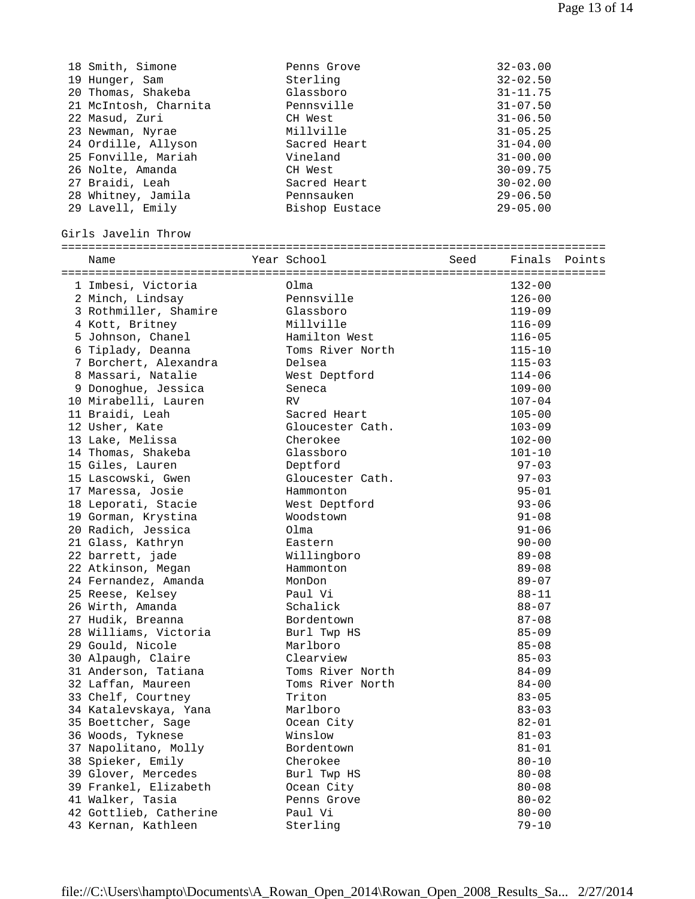| 18 Smith, Simone      | Penns Grove    | $32 - 03.00$ |
|-----------------------|----------------|--------------|
| 19 Hunger, Sam        | Sterling       | $32 - 02.50$ |
| 20 Thomas, Shakeba    | Glassboro      | $31 - 11.75$ |
| 21 McIntosh, Charnita | Pennsville     | $31 - 07.50$ |
| 22 Masud, Zuri        | CH West        | $31 - 06.50$ |
| 23 Newman, Nyrae      | Millville      | $31 - 05.25$ |
| 24 Ordille, Allyson   | Sacred Heart   | $31 - 04.00$ |
| 25 Fonville, Mariah   | Vineland       | $31 - 00.00$ |
| 26 Nolte, Amanda      | CH West        | $30 - 09.75$ |
| 27 Braidi, Leah       | Sacred Heart   | $30 - 02.00$ |
| 28 Whitney, Jamila    | Pennsauken     | $29 - 06.50$ |
| 29 Lavell, Emily      | Bishop Eustace | $29 - 05.00$ |

Girls Javelin Throw

| Name                   | Year School                  | Seed | Finals                  | Points |
|------------------------|------------------------------|------|-------------------------|--------|
| 1 Imbesi, Victoria     | Olma                         |      | $132 - 00$              |        |
| 2 Minch, Lindsay       | Pennsville                   |      | $126 - 00$              |        |
| 3 Rothmiller, Shamire  | Glassboro                    |      | $119 - 09$              |        |
| 4 Kott, Britney        | Millville                    |      | $116 - 09$              |        |
| 5 Johnson, Chanel      | Hamilton West                |      | $116 - 05$              |        |
| 6 Tiplady, Deanna      | Toms River North             |      | $115 - 10$              |        |
| 7 Borchert, Alexandra  | Delsea                       |      | $115 - 03$              |        |
| 8 Massari, Natalie     | West Deptford                |      | $114 - 06$              |        |
| 9 Donoghue, Jessica    | Seneca                       |      | $109 - 00$              |        |
| 10 Mirabelli, Lauren   | RV.                          |      | $107 - 04$              |        |
| 11 Braidi, Leah        | Sacred Heart                 |      | $105 - 00$              |        |
|                        |                              |      |                         |        |
| 12 Usher, Kate         | Gloucester Cath.<br>Cherokee |      | $103 - 09$              |        |
| 13 Lake, Melissa       | Glassboro                    |      | $102 - 00$              |        |
| 14 Thomas, Shakeba     |                              |      | $101 - 10$<br>$97 - 03$ |        |
| 15 Giles, Lauren       | Deptford                     |      |                         |        |
| 15 Lascowski, Gwen     | Gloucester Cath.             |      | $97 - 03$               |        |
| 17 Maressa, Josie      | Hammonton                    |      | $95 - 01$               |        |
| 18 Leporati, Stacie    | West Deptford                |      | $93 - 06$               |        |
| 19 Gorman, Krystina    | Woodstown                    |      | $91 - 08$               |        |
| 20 Radich, Jessica     | Olma                         |      | $91 - 06$               |        |
| 21 Glass, Kathryn      | Eastern                      |      | $90 - 00$               |        |
| 22 barrett, jade       | Willingboro                  |      | $89 - 08$               |        |
| 22 Atkinson, Megan     | Hammonton                    |      | $89 - 08$               |        |
| 24 Fernandez, Amanda   | MonDon                       |      | $89 - 07$               |        |
| 25 Reese, Kelsey       | Paul Vi                      |      | $88 - 11$               |        |
| 26 Wirth, Amanda       | Schalick                     |      | $88 - 07$               |        |
| 27 Hudik, Breanna      | Bordentown                   |      | $87 - 08$               |        |
| 28 Williams, Victoria  | Burl Twp HS                  |      | $85 - 09$               |        |
| 29 Gould, Nicole       | Marlboro                     |      | $85 - 08$               |        |
| 30 Alpaugh, Claire     | Clearview                    |      | $85 - 03$               |        |
| 31 Anderson, Tatiana   | Toms River North             |      | $84 - 09$               |        |
| 32 Laffan, Maureen     | Toms River North             |      | $84 - 00$               |        |
| 33 Chelf, Courtney     | Triton                       |      | $83 - 05$               |        |
| 34 Katalevskaya, Yana  | Marlboro                     |      | $83 - 03$               |        |
| 35 Boettcher, Sage     | Ocean City                   |      | $82 - 01$               |        |
| 36 Woods, Tyknese      | Winslow                      |      | $81 - 03$               |        |
| 37 Napolitano, Molly   | Bordentown                   |      | $81 - 01$               |        |
| 38 Spieker, Emily      | Cherokee                     |      | $80 - 10$               |        |
| 39 Glover, Mercedes    | Burl Twp HS                  |      | $80 - 08$               |        |
| 39 Frankel, Elizabeth  | Ocean City                   |      | $80 - 08$               |        |
| 41 Walker, Tasia       | Penns Grove                  |      | $80 - 02$               |        |
| 42 Gottlieb, Catherine | Paul Vi                      |      | $80 - 00$               |        |
| 43 Kernan, Kathleen    | Sterling                     |      | $79 - 10$               |        |